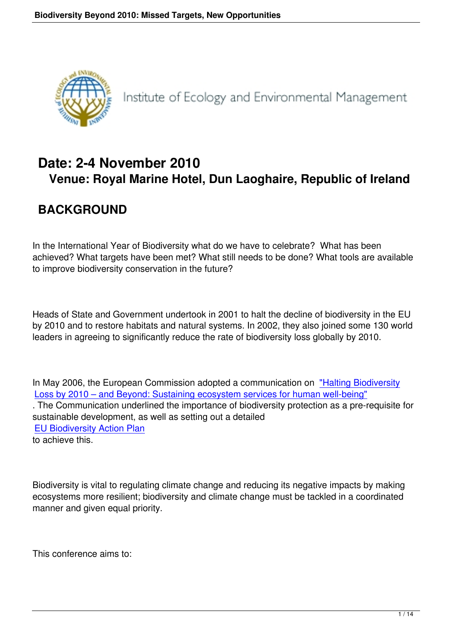

Institute of Ecology and Environmental Management

# **Date: 2-4 November 2010 Venue: Royal Marine Hotel, Dun Laoghaire, Republic of Ireland**

# **BACKGROUND**

In the International Year of Biodiversity what do we have to celebrate? What has been achieved? What targets have been met? What still needs to be done? What tools are available to improve biodiversity conservation in the future?

Heads of State and Government undertook in 2001 to halt the decline of biodiversity in the EU by 2010 and to restore habitats and natural systems. In 2002, they also joined some 130 world leaders in agreeing to significantly reduce the rate of biodiversity loss globally by 2010.

In May 2006, the European Commission adopted a communication on "Halting Biodiversity Loss by 2010 – and Beyond: Sustaining ecosystem services for human well-being" . The Communication underlined the importance of biodiversity protection as a pre-requisite for sustainable development, as well as setting out a detailed [EU Biodiversity Action Plan](http://ec.europa.eu/environment/nature/biodiversity/comm2006/bap_2006.htm) to achieve this.

Biodiversity is vital to regulating climate change and reducing its negative impacts by making ecosystems more resilient; biodiversity and climate change must be tackled in a coordinated manner and given equal priority.

This conference aims to: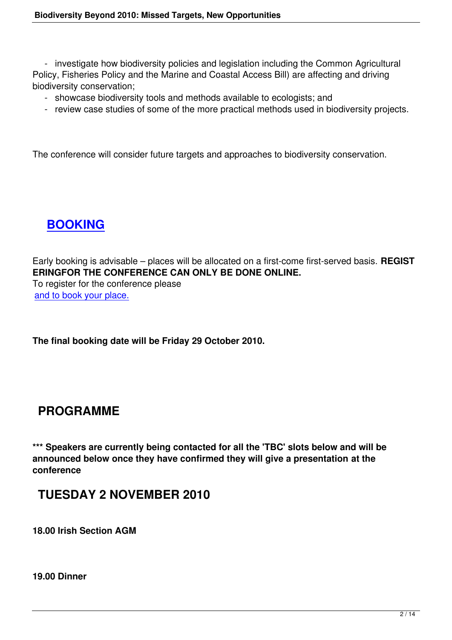- investigate how biodiversity policies and legislation including the Common Agricultural Policy, Fisheries Policy and the Marine and Coastal Access Bill) are affecting and driving biodiversity conservation;

- showcase biodiversity tools and methods available to ecologists; and
- review case studies of some of the more practical methods used in biodiversity projects.

The conference will consider future targets and approaches to biodiversity conservation.

# **BOOKING**

Ea[rly booking is ad](http://www.fugawi.co.uk/bookings.php?ID=30)visable – places will be allocated on a first-come first-served basis. **REGIST ERINGFOR THE CONFERENCE CAN ONLY BE DONE ONLINE.** To register for the conference please and to book your place.

**[The final booking date](http://www.fugawi.co.uk/bookings.php?ID=30) will be Friday 29 October 2010.**

### **PROGRAMME**

**\*\*\* Speakers are currently being contacted for all the 'TBC' slots below and will be announced below once they have confirmed they will give a presentation at the conference**

### **TUESDAY 2 NOVEMBER 2010**

**18.00 Irish Section AGM**

**19.00 Dinner**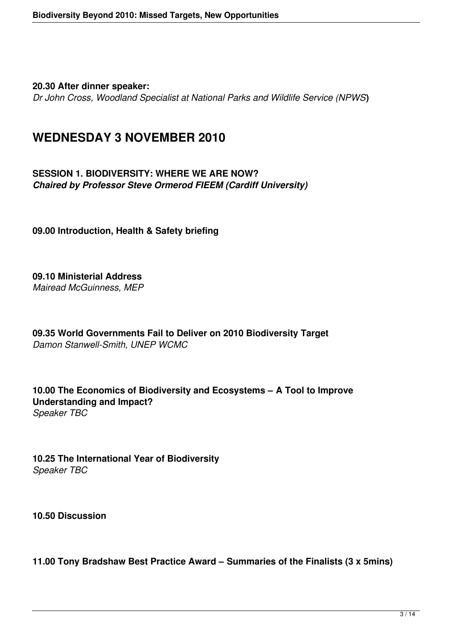**20.30 After dinner speaker:**

*Dr John Cross, Woodland Specialist at National Parks and Wildlife Service (NPWS***)**

### **WEDNESDAY 3 NOVEMBER 2010**

**SESSION 1. BIODIVERSITY: WHERE WE ARE NOW?** *Chaired by Professor Steve Ormerod FIEEM (Cardiff University)*

**09.00 Introduction, Health & Safety briefing**

**09.10 Ministerial Address** *Mairead McGuinness, MEP*

**09.35 World Governments Fail to Deliver on 2010 Biodiversity Target** *Damon Stanwell-Smith, UNEP WCMC*

**10.00 The Economics of Biodiversity and Ecosystems – A Tool to Improve Understanding and Impact?** *Speaker TBC* 

**10.25 The International Year of Biodiversity** *Speaker TBC*

**10.50 Discussion**

**11.00 Tony Bradshaw Best Practice Award – Summaries of the Finalists (3 x 5mins)**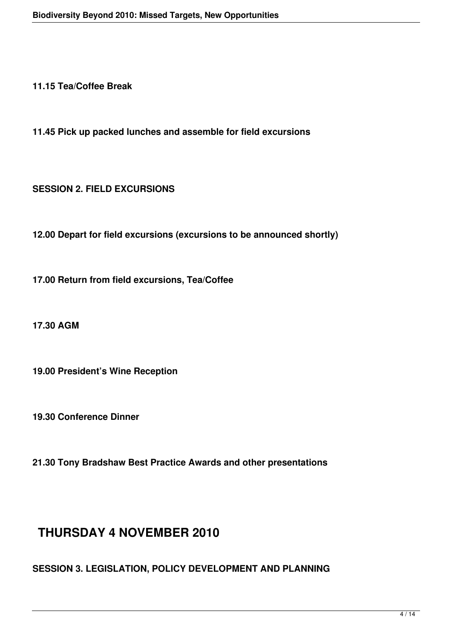**11.15 Tea/Coffee Break**

**11.45 Pick up packed lunches and assemble for field excursions**

**SESSION 2. FIELD EXCURSIONS**

**12.00 Depart for field excursions (excursions to be announced shortly)**

**17.00 Return from field excursions, Tea/Coffee**

**17.30 AGM**

**19.00 President's Wine Reception**

**19.30 Conference Dinner**

**21.30 Tony Bradshaw Best Practice Awards and other presentations**

### **THURSDAY 4 NOVEMBER 2010**

**SESSION 3. LEGISLATION, POLICY DEVELOPMENT AND PLANNING**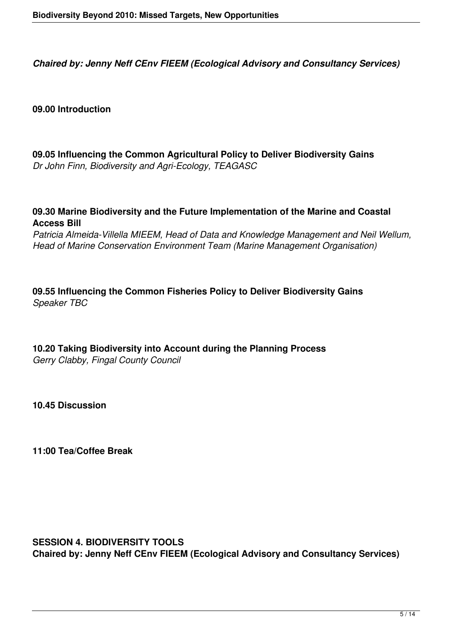*Chaired by: Jenny Neff CEnv FIEEM (Ecological Advisory and Consultancy Services)*

#### **09.00 Introduction**

**09.05 Influencing the Common Agricultural Policy to Deliver Biodiversity Gains** *Dr John Finn, Biodiversity and Agri-Ecology, TEAGASC*

**09.30 Marine Biodiversity and the Future Implementation of the Marine and Coastal Access Bill**

*Patricia Almeida-Villella MIEEM, Head of Data and Knowledge Management and Neil Wellum, Head of Marine Conservation Environment Team (Marine Management Organisation)*

**09.55 Influencing the Common Fisheries Policy to Deliver Biodiversity Gains** *Speaker TBC*

# **10.20 Taking Biodiversity into Account during the Planning Process**

*Gerry Clabby, Fingal County Council*

**10.45 Discussion**

**11:00 Tea/Coffee Break**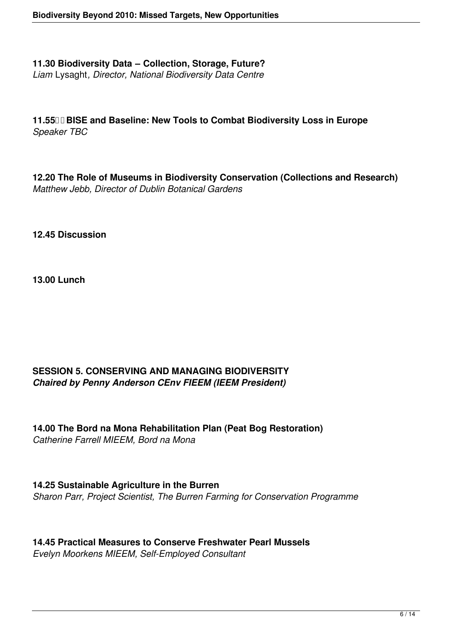**11.30 Biodiversity Data – Collection, Storage, Future?** *Liam* Lysaght*, Director, National Biodiversity Data Centre*

**11.55 BISE and Baseline: New Tools to Combat Biodiversity Loss in Europe** *Speaker TBC*

**12.20 The Role of Museums in Biodiversity Conservation (Collections and Research)** *Matthew Jebb, Director of Dublin Botanical Gardens*

**12.45 Discussion**

**13.00 Lunch**

### **SESSION 5. CONSERVING AND MANAGING BIODIVERSITY** *Chaired by Penny Anderson CEnv FIEEM (IEEM President)*

**14.00 The Bord na Mona Rehabilitation Plan (Peat Bog Restoration)** *Catherine Farrell MIEEM, Bord na Mona*

**14.25 Sustainable Agriculture in the Burren** *Sharon Parr, Project Scientist, The Burren Farming for Conservation Programme*

**14.45 Practical Measures to Conserve Freshwater Pearl Mussels** *Evelyn Moorkens MIEEM, Self-Employed Consultant*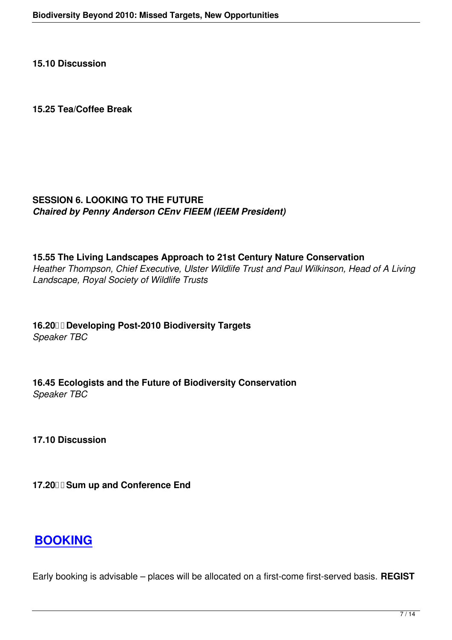#### **15.25 Tea/Coffee Break**

#### **SESSION 6. LOOKING TO THE FUTURE** *Chaired by Penny Anderson CEnv FIEEM (IEEM President)*

**15.55 The Living Landscapes Approach to 21st Century Nature Conservation** *Heather Thompson, Chief Executive, Ulster Wildlife Trust and Paul Wilkinson, Head of A Living Landscape, Royal Society of Wildlife Trusts*

**16.20 Developing Post-2010 Biodiversity Targets** *Speaker TBC*

**16.45 Ecologists and the Future of Biodiversity Conservation** *Speaker TBC*

**17.10 Discussion**

**17.20 Sum up and Conference End** 

### **BOOKING**

[Early booking is](http://www.fugawi.co.uk/bookings.php?ID=30) advisable – places will be allocated on a first-come first-served basis. **REGIST**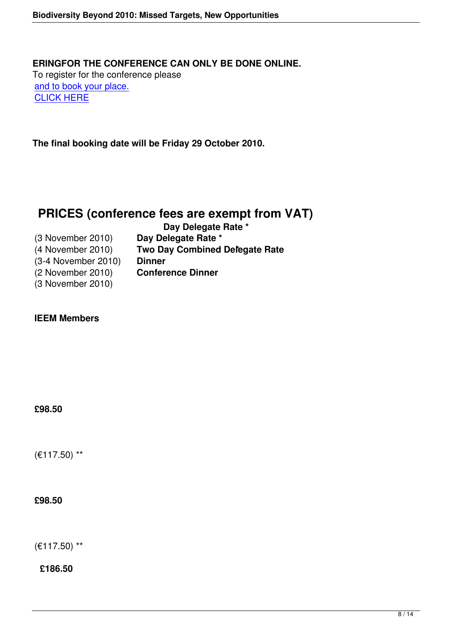**[The final boo](http://www.fugawi.co.uk/bookings.php?ID=30)king date will be Friday 29 October 2010.**

### **PRICES (conference fees are exempt from VAT)**

|                     | Day Delegate Rate *                   |
|---------------------|---------------------------------------|
| (3 November 2010)   | Day Delegate Rate *                   |
| (4 November 2010)   | <b>Two Day Combined Delegate Rate</b> |
| (3-4 November 2010) | <b>Dinner</b>                         |
| (2 November 2010)   | <b>Conference Dinner</b>              |
| (3 November 2010)   |                                       |

#### **IEEM Members**

**£98.50**

(€117.50) \*\*

#### **£98.50**

(€117.50) \*\*

**£186.50**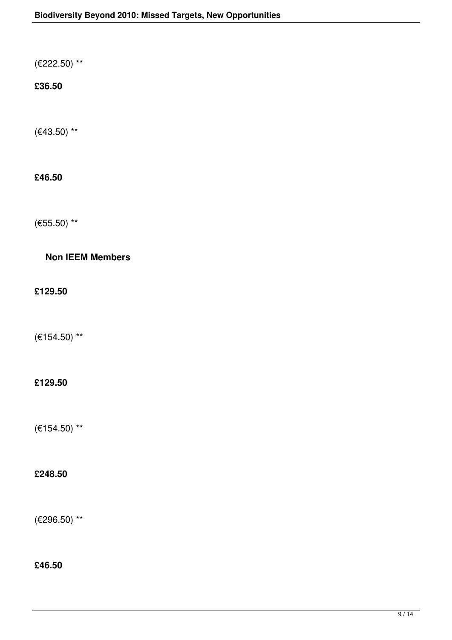(€222.50) \*\*

### **£36.50**

 $(€43.50)$  \*\*

### **£46.50**

(€55.50) \*\*

### **Non IEEM Members**

**£129.50**

(€154.50) \*\*

### **£129.50**

(€154.50) \*\*

### **£248.50**

(€296.50) \*\*

**£46.50**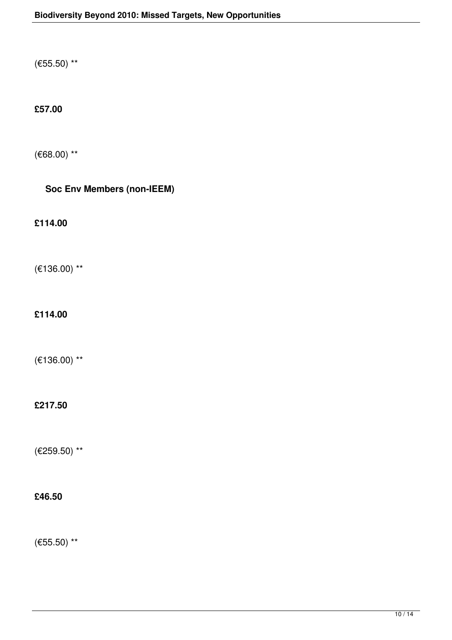(€55.50) \*\*

### **£57.00**

(€68.00) \*\*

### **Soc Env Members (non-IEEM)**

**£114.00**

(€136.00) \*\*

**£114.00**

(€136.00) \*\*

### **£217.50**

(€259.50) \*\*

### **£46.50**

(€55.50) \*\*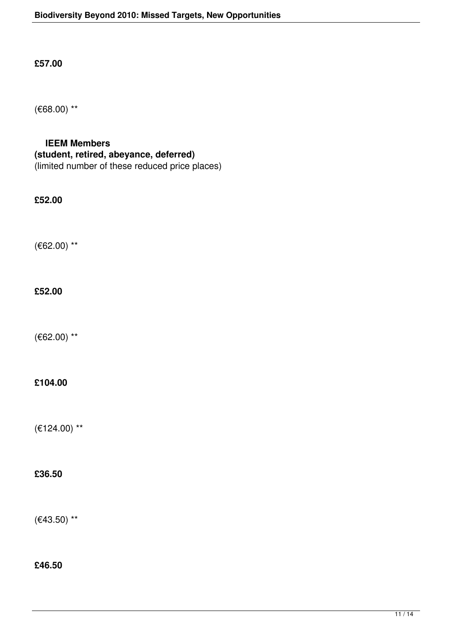**£57.00**

(€68.00) \*\*

### **IEEM Members (student, retired, abeyance, deferred)** (limited number of these reduced price places)

**£52.00**

(€62.00) \*\*

#### **£52.00**

(€62.00) \*\*

#### **£104.00**

(€124.00) \*\*

#### **£36.50**

(€43.50) \*\*

#### **£46.50**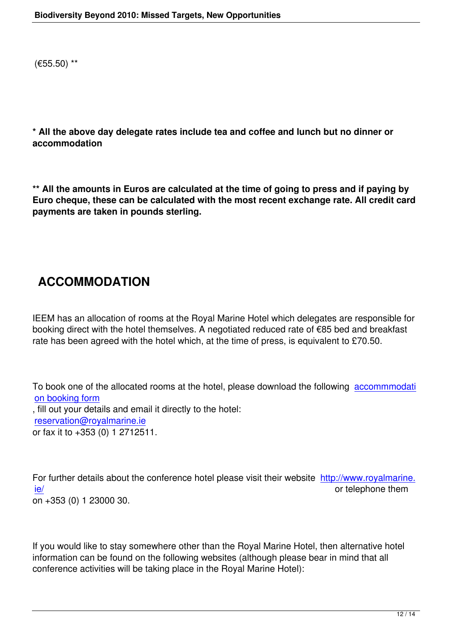**\* All the above day delegate rates include tea and coffee and lunch but no dinner or accommodation**

**\*\* All the amounts in Euros are calculated at the time of going to press and if paying by Euro cheque, these can be calculated with the most recent exchange rate. All credit card payments are taken in pounds sterling.**

# **ACCOMMODATION**

IEEM has an allocation of rooms at the Royal Marine Hotel which delegates are responsible for booking direct with the hotel themselves. A negotiated reduced rate of €85 bed and breakfast rate has been agreed with the hotel which, at the time of press, is equivalent to £70.50.

To book one of the allocated rooms at the hotel, please download the following accommmodati on booking form , fill out your details and email it directly to the hotel: reservation@royalmarine.ie [or fax it to +353 \(](http://www.ieem.net/docs/Hotel%20Booking%20form%20IEEM.doc)0) 1 2712511.

For further details about the conference hotel please visit their website http://www.royalmarine. ie/ or telephone them on +353 (0) 1 23000 30.

If you would like to stay somewhere other than the Royal Marine Hotel, then alternative hotel information can be found on the following websites (although please bear in mind that all conference activities will be taking place in the Royal Marine Hotel):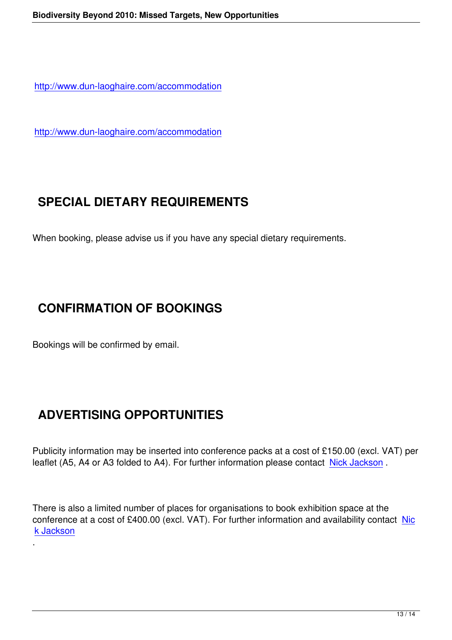http://www.dun-laoghaire.com/accommodation

<http://www.dun-laoghaire.com/accommodation>

# **SPECIAL DIETARY REQUIREMENTS**

When booking, please advise us if you have any special dietary requirements.

### **CONFIRMATION OF BOOKINGS**

Bookings will be confirmed by email.

.

# **ADVERTISING OPPORTUNITIES**

Publicity information may be inserted into conference packs at a cost of £150.00 (excl. VAT) per leaflet (A5, A4 or A3 folded to A4). For further information please contact Nick Jackson.

There is also a limited number of places for organisations to book exhibiti[on space at th](mailto:nickjackson@ieem.net)e conference at a cost of £400.00 (excl. VAT). For further information and availability contact Nic k Jackson